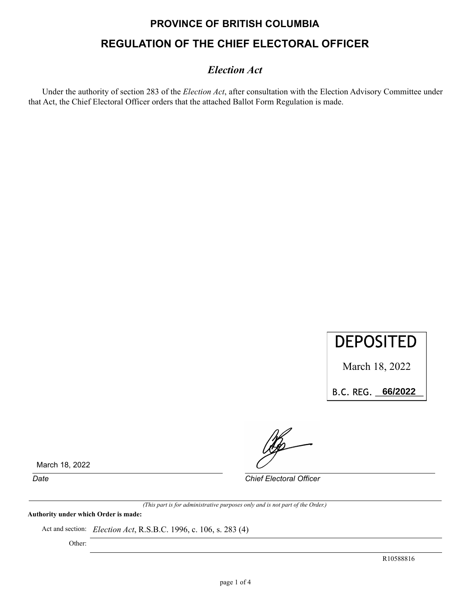# **PROVINCE OF BRITISH COLUMBIA REGULATION OF THE CHIEF ELECTORAL OFFICER**

### *Election Act*

Under the authority of section 283 of the *Election Act*, after consultation with the Election Advisory Committee under that Act, the Chief Electoral Officer orders that the attached Ballot Form Regulation is made.



March 18, 2022

B.C.REG.\_\_\_\_\_\_\_\_\_\_ **66/2022**

March 18, 2022

*Date Chief Electoral Officer*

*(This part is for administrative purposes only and is not part of the Order.)*

**Authority under which Order is made:**

Act and section: *Election Act*, R.S.B.C. 1996, c. 106, s. 283 (4)

Other:

R10588816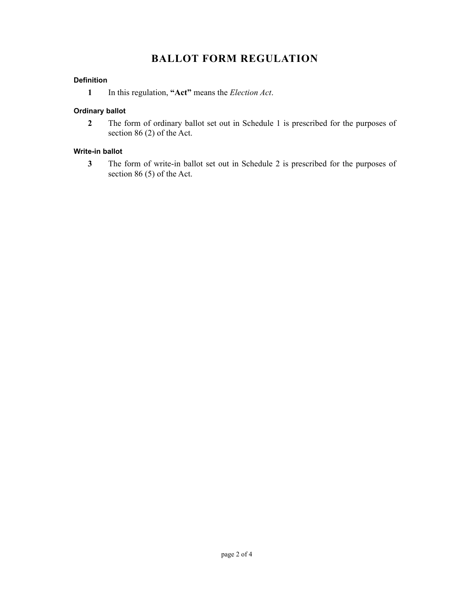## **BALLOT FORM REGULATION**

#### **Definition**

**1** In this regulation, **"Act"** means the *Election Act*.

#### **Ordinary ballot**

**2** The form of ordinary ballot set out in Schedule 1 is prescribed for the purposes of section 86 (2) of the Act.

#### **Write-in ballot**

**3** The form of write-in ballot set out in Schedule 2 is prescribed for the purposes of section 86 (5) of the Act.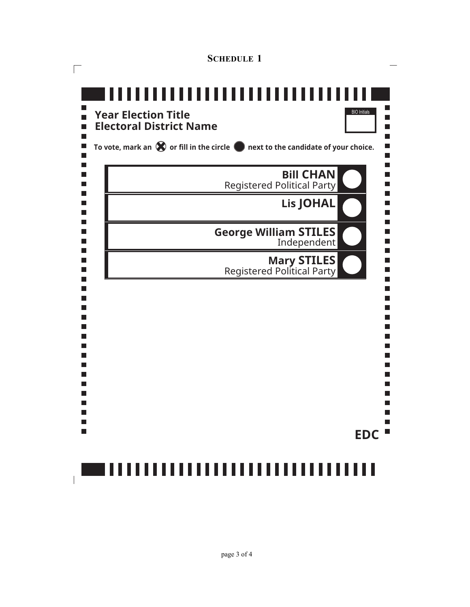| <b>SCHEDULE 1</b>                                                                                    |                     |
|------------------------------------------------------------------------------------------------------|---------------------|
| ,,,,,,,,,,,,,,,,,,<br>4 F I<br>---<br><b>Year Election Title</b>                                     | <b>BIO</b> Initials |
| <b>Electoral District Name</b>                                                                       |                     |
| To vote, mark an $\bigotimes$ or fill in the circle $\bigcirc$ next to the candidate of your choice. |                     |
| <b>Registered Political Party</b>                                                                    | <b>Bill CHAN</b>    |
| l a l                                                                                                | <b>Lis JOHAL</b>    |
| <b>George William STILES</b><br>k.<br>$\mathbf{I}$                                                   | Independent         |
| <b>Mary STILES</b><br>Registered Political Party                                                     |                     |
|                                                                                                      |                     |
|                                                                                                      |                     |
|                                                                                                      |                     |
|                                                                                                      |                     |
|                                                                                                      |                     |
|                                                                                                      | <b>EDC</b>          |
| ,,,,,,,,,,,,,,,,,,,,,,,,,,,,,,,,,,                                                                   |                     |